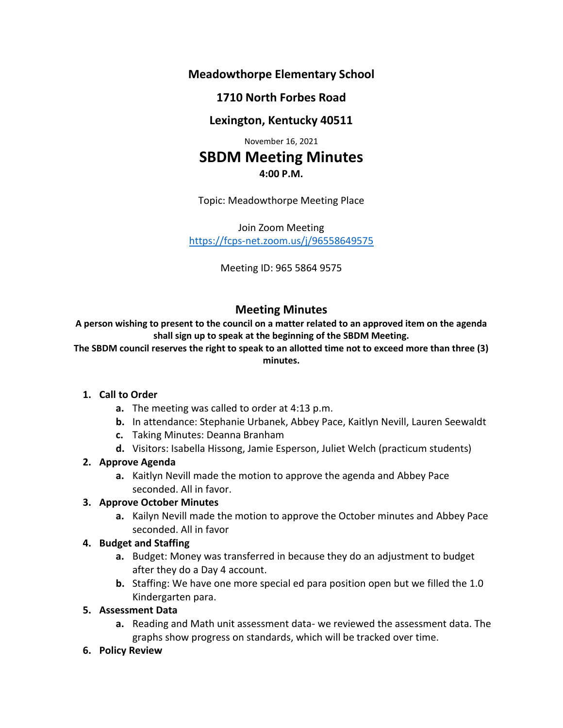**Meadowthorpe Elementary School**

## **1710 North Forbes Road**

# **Lexington, Kentucky 40511**

November 16, 2021

# **SBDM Meeting Minutes 4:00 P.M.**

Topic: Meadowthorpe Meeting Place

Join Zoom Meeting <https://fcps-net.zoom.us/j/96558649575>

Meeting ID: 965 5864 9575

# **Meeting Minutes**

**A person wishing to present to the council on a matter related to an approved item on the agenda shall sign up to speak at the beginning of the SBDM Meeting.**

**The SBDM council reserves the right to speak to an allotted time not to exceed more than three (3) minutes.**

#### **1. Call to Order**

- **a.** The meeting was called to order at 4:13 p.m.
- **b.** In attendance: Stephanie Urbanek, Abbey Pace, Kaitlyn Nevill, Lauren Seewaldt
- **c.** Taking Minutes: Deanna Branham
- **d.** Visitors: Isabella Hissong, Jamie Esperson, Juliet Welch (practicum students)

## **2. Approve Agenda**

**a.** Kaitlyn Nevill made the motion to approve the agenda and Abbey Pace seconded. All in favor.

## **3. Approve October Minutes**

**a.** Kailyn Nevill made the motion to approve the October minutes and Abbey Pace seconded. All in favor

## **4. Budget and Staffing**

- **a.** Budget: Money was transferred in because they do an adjustment to budget after they do a Day 4 account.
- **b.** Staffing: We have one more special ed para position open but we filled the 1.0 Kindergarten para.

## **5. Assessment Data**

- **a.** Reading and Math unit assessment data- we reviewed the assessment data. The graphs show progress on standards, which will be tracked over time.
- **6. Policy Review**